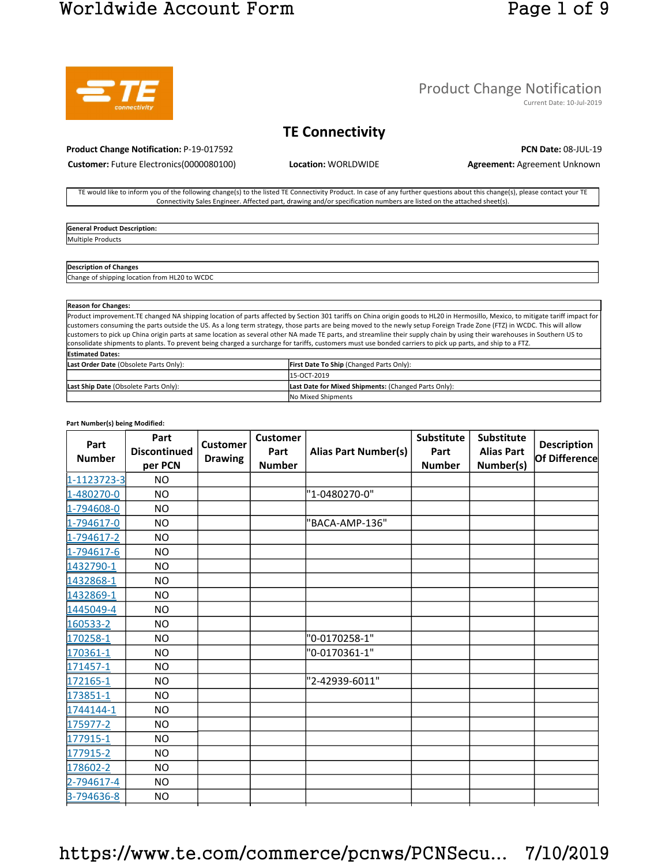## Worldwide Account Form Page 1 of 9



### Product Change Notification

Current Date: 10-Jul-2019

### **TE Connectivity**

**Product Change Notification:** P-19-017592 **PCN Date:** 08-JUL-19

**Customer:** Future Electronics(0000080100) **Location:** WORLDWIDE **Agreement:** Agreement Unknown

TE would like to inform you of the following change(s) to the listed TE Connectivity Product. In case of any further questions about this change(s), please contact your TE Connectivity Sales Engineer. Affected part, drawing and/or specification numbers are listed on the attached sheet(s).

**General Product Description:**  Multiple Products

#### **Description of Changes**

Change of shipping location from HL20 to WCDC

| <b>Reason for Changes:</b>             |                                                                                                                                                                                  |  |  |  |  |  |  |
|----------------------------------------|----------------------------------------------------------------------------------------------------------------------------------------------------------------------------------|--|--|--|--|--|--|
|                                        | Product improvement. TE changed NA shipping location of parts affected by Section 301 tariffs on China origin goods to HL20 in Hermosillo, Mexico, to mitigate tariff impact for |  |  |  |  |  |  |
|                                        | customers consuming the parts outside the US. As a long term strategy, those parts are being moved to the newly setup Foreign Trade Zone (FTZ) in WCDC. This will allow          |  |  |  |  |  |  |
|                                        | customers to pick up China origin parts at same location as several other NA made TE parts, and streamline their supply chain by using their warehouses in Southern US to        |  |  |  |  |  |  |
|                                        | consolidate shipments to plants. To prevent being charged a surcharge for tariffs, customers must use bonded carriers to pick up parts, and ship to a FTZ.                       |  |  |  |  |  |  |
| <b>Estimated Dates:</b>                |                                                                                                                                                                                  |  |  |  |  |  |  |
| Last Order Date (Obsolete Parts Only): | <b>First Date To Ship (Changed Parts Only):</b>                                                                                                                                  |  |  |  |  |  |  |
|                                        | 15-OCT-2019                                                                                                                                                                      |  |  |  |  |  |  |
| Last Ship Date (Obsolete Parts Only):  | Last Date for Mixed Shipments: (Changed Parts Only):                                                                                                                             |  |  |  |  |  |  |
|                                        | No Mixed Shipments                                                                                                                                                               |  |  |  |  |  |  |

#### **Part Number(s) being Modified:**

| Part<br><b>Number</b> | Part<br><b>Discontinued</b><br>per PCN | <b>Customer</b><br><b>Drawing</b> | <b>Customer</b><br>Part<br><b>Number</b> | <b>Alias Part Number(s)</b> | <b>Substitute</b><br>Part<br><b>Number</b> | <b>Substitute</b><br><b>Alias Part</b><br>Number(s) | <b>Description</b><br>Of Difference |
|-----------------------|----------------------------------------|-----------------------------------|------------------------------------------|-----------------------------|--------------------------------------------|-----------------------------------------------------|-------------------------------------|
| 1-1123723-3           | <b>NO</b>                              |                                   |                                          |                             |                                            |                                                     |                                     |
| 1-480270-0            | <b>NO</b>                              |                                   |                                          | "1-0480270-0"               |                                            |                                                     |                                     |
| 1-794608-0            | NO.                                    |                                   |                                          |                             |                                            |                                                     |                                     |
| 1-794617-0            | <b>NO</b>                              |                                   |                                          | "BACA-AMP-136"              |                                            |                                                     |                                     |
| 1-794617-2            | <b>NO</b>                              |                                   |                                          |                             |                                            |                                                     |                                     |
| 1-794617-6            | <b>NO</b>                              |                                   |                                          |                             |                                            |                                                     |                                     |
| 1432790-1             | <b>NO</b>                              |                                   |                                          |                             |                                            |                                                     |                                     |
| 1432868-1             | <b>NO</b>                              |                                   |                                          |                             |                                            |                                                     |                                     |
| 1432869-1             | <b>NO</b>                              |                                   |                                          |                             |                                            |                                                     |                                     |
| 1445049-4             | <b>NO</b>                              |                                   |                                          |                             |                                            |                                                     |                                     |
| 160533-2              | <b>NO</b>                              |                                   |                                          |                             |                                            |                                                     |                                     |
| 170258-1              | <b>NO</b>                              |                                   |                                          | "0-0170258-1"               |                                            |                                                     |                                     |
| 170361-1              | <b>NO</b>                              |                                   |                                          | "0-0170361-1"               |                                            |                                                     |                                     |
| 171457-1              | NO.                                    |                                   |                                          |                             |                                            |                                                     |                                     |
| 172165-1              | NO.                                    |                                   |                                          | "2-42939-6011"              |                                            |                                                     |                                     |
| 173851-1              | <b>NO</b>                              |                                   |                                          |                             |                                            |                                                     |                                     |
| 1744144-1             | NO.                                    |                                   |                                          |                             |                                            |                                                     |                                     |
| 175977-2              | <b>NO</b>                              |                                   |                                          |                             |                                            |                                                     |                                     |
| 177915-1              | <b>NO</b>                              |                                   |                                          |                             |                                            |                                                     |                                     |
| 177915-2              | <b>NO</b>                              |                                   |                                          |                             |                                            |                                                     |                                     |
| 178602-2              | NO.                                    |                                   |                                          |                             |                                            |                                                     |                                     |
| 2-794617-4            | <b>NO</b>                              |                                   |                                          |                             |                                            |                                                     |                                     |
| 3-794636-8            | <b>NO</b>                              |                                   |                                          |                             |                                            |                                                     |                                     |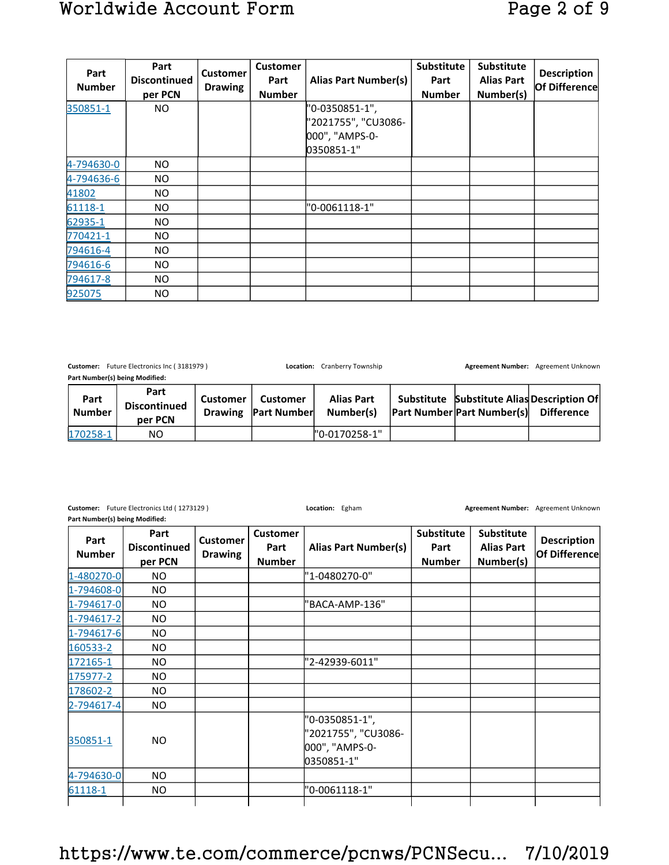| Part<br><b>Number</b> | Part<br><b>Discontinued</b><br>per PCN | <b>Customer</b><br><b>Drawing</b> | <b>Customer</b><br>Part<br><b>Number</b> | <b>Alias Part Number(s)</b>                                           | Substitute<br>Part<br><b>Number</b> | Substitute<br><b>Alias Part</b><br>Number(s) | <b>Description</b><br>Of Difference |
|-----------------------|----------------------------------------|-----------------------------------|------------------------------------------|-----------------------------------------------------------------------|-------------------------------------|----------------------------------------------|-------------------------------------|
| 350851-1              | NO.                                    |                                   |                                          | "0-0350851-1",<br>"2021755", "CU3086-<br>000", "AMPS-0-<br>0350851-1" |                                     |                                              |                                     |
| 4-794630-0            | NO.                                    |                                   |                                          |                                                                       |                                     |                                              |                                     |
| 4-794636-6            | NO.                                    |                                   |                                          |                                                                       |                                     |                                              |                                     |
| 41802                 | NO.                                    |                                   |                                          |                                                                       |                                     |                                              |                                     |
| 61118-1               | NO.                                    |                                   |                                          | "0-0061118-1"                                                         |                                     |                                              |                                     |
| 62935-1               | NO.                                    |                                   |                                          |                                                                       |                                     |                                              |                                     |
| 770421-1              | NO.                                    |                                   |                                          |                                                                       |                                     |                                              |                                     |
| 794616-4              | NO.                                    |                                   |                                          |                                                                       |                                     |                                              |                                     |
| 794616-6              | NO.                                    |                                   |                                          |                                                                       |                                     |                                              |                                     |
| 794617-8              | NO.                                    |                                   |                                          |                                                                       |                                     |                                              |                                     |
| 925075                | NO.                                    |                                   |                                          |                                                                       |                                     |                                              |                                     |

Customer: Future Electronics Inc ( 3181979 ) **Location:** Cranberry Township **Agreement Number:** Agreement Unknown **Part Number(s) being Modified:** 

**Part Number Part Discontinued per PCN Customer Drawing Customer Part Number Alias Part Number(s) Substitute Part Number Part Number(s) Substitute Alias Description Of Difference** 170258-1 NO "0-0170258-1"

**Part Number(s) being Modified:** 

**Customer:** Future Electronics Ltd ( 1273129 ) **Location:** Egham **Agreement Number:** Agreement Unknown

| Part<br><b>Number</b> | Part<br>Discontinued<br>per PCN | <b>Customer</b><br><b>Drawing</b> | <b>Customer</b><br>Part<br><b>Number</b> | <b>Alias Part Number(s)</b>                                           | <b>Substitute</b><br>Part<br><b>Number</b> | <b>Substitute</b><br><b>Alias Part</b><br>Number(s) | <b>Description</b><br>Of Difference |
|-----------------------|---------------------------------|-----------------------------------|------------------------------------------|-----------------------------------------------------------------------|--------------------------------------------|-----------------------------------------------------|-------------------------------------|
| 1-480270-0            | NO.                             |                                   |                                          | "1-0480270-0"                                                         |                                            |                                                     |                                     |
| 1-794608-0            | NO.                             |                                   |                                          |                                                                       |                                            |                                                     |                                     |
| $1 - 794617 - 0$      | NO.                             |                                   |                                          | 'BACA-AMP-136"                                                        |                                            |                                                     |                                     |
| $1 - 794617 - 2$      | NO.                             |                                   |                                          |                                                                       |                                            |                                                     |                                     |
| 1-794617-6            | NO.                             |                                   |                                          |                                                                       |                                            |                                                     |                                     |
| 160533-2              | NO.                             |                                   |                                          |                                                                       |                                            |                                                     |                                     |
| 172165-1              | NO.                             |                                   |                                          | "2-42939-6011"                                                        |                                            |                                                     |                                     |
| 175977-2              | NO.                             |                                   |                                          |                                                                       |                                            |                                                     |                                     |
| 178602-2              | NO.                             |                                   |                                          |                                                                       |                                            |                                                     |                                     |
| $2 - 794617 - 4$      | NO.                             |                                   |                                          |                                                                       |                                            |                                                     |                                     |
| 350851-1              | NO.                             |                                   |                                          | "0-0350851-1",<br>"2021755", "CU3086-<br>000", "AMPS-0-<br>0350851-1" |                                            |                                                     |                                     |
| 4-794630-0            | NO.                             |                                   |                                          |                                                                       |                                            |                                                     |                                     |
| 61118-1               | NO.                             |                                   |                                          | "0-0061118-1"                                                         |                                            |                                                     |                                     |
|                       |                                 |                                   |                                          |                                                                       |                                            |                                                     |                                     |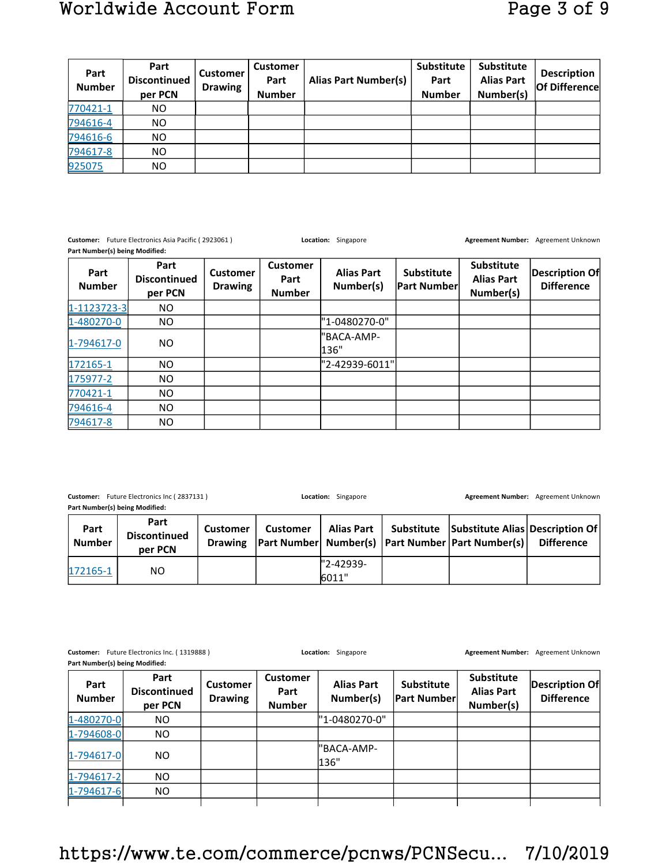| Part<br><b>Number</b> | Part<br><b>Discontinued</b><br>per PCN | <b>Customer</b><br><b>Drawing</b> | <b>Customer</b><br>Part<br><b>Number</b> | <b>Alias Part Number(s)</b> | <b>Substitute</b><br>Part<br><b>Number</b> | <b>Substitute</b><br><b>Alias Part</b><br>Number(s) | <b>Description</b><br>Of Difference |
|-----------------------|----------------------------------------|-----------------------------------|------------------------------------------|-----------------------------|--------------------------------------------|-----------------------------------------------------|-------------------------------------|
| 770421-1              | NO.                                    |                                   |                                          |                             |                                            |                                                     |                                     |
| 794616-4              | NO.                                    |                                   |                                          |                             |                                            |                                                     |                                     |
| 794616-6              | NO.                                    |                                   |                                          |                             |                                            |                                                     |                                     |
| 794617-8              | NO.                                    |                                   |                                          |                             |                                            |                                                     |                                     |
| 925075                | NO.                                    |                                   |                                          |                             |                                            |                                                     |                                     |

**Customer:** Future Electronics Asia Pacific ( 2923061 ) **Location:** Singapore **Agreement Number:** Agreement Unknown **Part Number(s) being Modified:** 

| Part<br><b>Number</b> | Part<br><b>Discontinued</b><br>per PCN | <b>Customer</b><br><b>Drawing</b> | <b>Customer</b><br>Part<br><b>Number</b> | <b>Alias Part</b><br>Number(s) | <b>Substitute</b><br><b>Part Number</b> | Substitute<br><b>Alias Part</b><br>Number(s) | Description Of<br><b>Difference</b> |
|-----------------------|----------------------------------------|-----------------------------------|------------------------------------------|--------------------------------|-----------------------------------------|----------------------------------------------|-------------------------------------|
| 1-1123723-3           | NO.                                    |                                   |                                          |                                |                                         |                                              |                                     |
| 1-480270-0            | NO                                     |                                   |                                          | "1-0480270-0"                  |                                         |                                              |                                     |
| $1 - 794617 - 0$      | NO.                                    |                                   |                                          | "BACA-AMP-<br>136"             |                                         |                                              |                                     |
| 172165-1              | NO.                                    |                                   |                                          | "2-42939-6011"                 |                                         |                                              |                                     |
| 175977-2              | NO.                                    |                                   |                                          |                                |                                         |                                              |                                     |
| 770421-1              | NO.                                    |                                   |                                          |                                |                                         |                                              |                                     |
| 794616-4              | NO.                                    |                                   |                                          |                                |                                         |                                              |                                     |
| 794617-8              | NO.                                    |                                   |                                          |                                |                                         |                                              |                                     |

**Customer:** Future Electronics Inc ( 2837131 ) **Location:** Singapore **Agreement Number:** Agreement Unknown

**Part Number(s) being Modified: Part Number Part Discontinued per PCN Customer Drawing Customer Part Number Alias Part Number(s) Substitute Part Number Part Number(s) Substitute Alias Description Of Difference** 172165-1 NO NO 2-42939-6011"

**Customer:** Future Electronics Inc. ( 1319888 ) **Location:** Singapore **Agreement Number:** Agreement Unknown **Part Number(s) being Modified:** 

| Part<br><b>Number</b> | Part<br><b>Discontinued</b><br>per PCN | <b>Customer</b><br><b>Drawing</b> | <b>Customer</b><br>Part<br><b>Number</b> | <b>Alias Part</b><br>Number(s) | Substitute<br><b>Part Number</b> | <b>Substitute</b><br><b>Alias Part</b><br>Number(s) | Description Of<br><b>Difference</b> |
|-----------------------|----------------------------------------|-----------------------------------|------------------------------------------|--------------------------------|----------------------------------|-----------------------------------------------------|-------------------------------------|
| 1-480270-0            | NO.                                    |                                   |                                          | "1-0480270-0"                  |                                  |                                                     |                                     |
| 1-794608-0            | NO.                                    |                                   |                                          |                                |                                  |                                                     |                                     |
| $1 - 794617 - 0$      | NO.                                    |                                   |                                          | l"BACA-AMP-<br>136"            |                                  |                                                     |                                     |
| $1 - 794617 - 2$      | NO.                                    |                                   |                                          |                                |                                  |                                                     |                                     |
| $1 - 794617 - 6$      | NO.                                    |                                   |                                          |                                |                                  |                                                     |                                     |
|                       |                                        |                                   |                                          |                                |                                  |                                                     |                                     |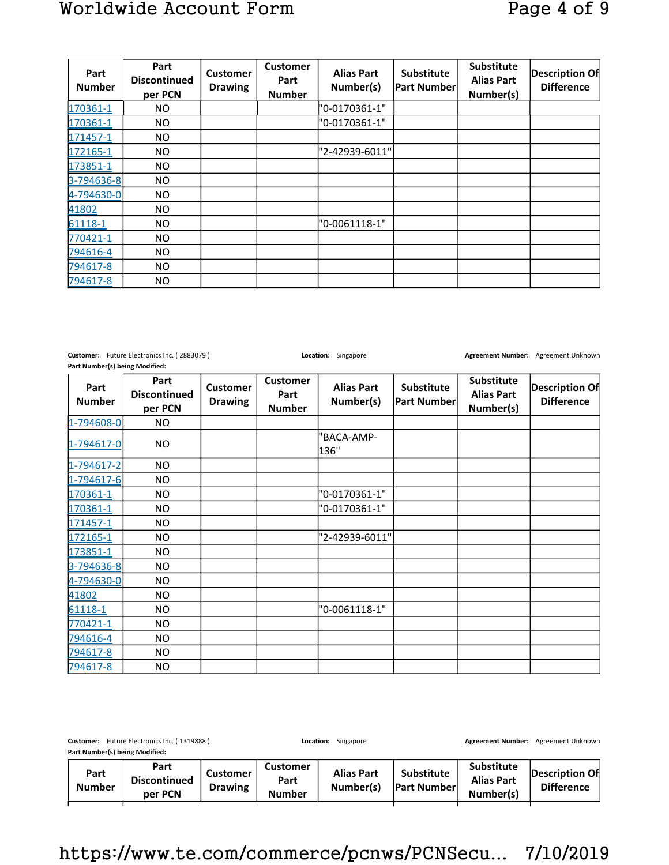| Part<br><b>Number</b> | Part<br><b>Discontinued</b><br>per PCN | <b>Customer</b><br><b>Drawing</b> | <b>Customer</b><br>Part<br><b>Number</b> | <b>Alias Part</b><br>Number(s) | Substitute<br> Part Number | <b>Substitute</b><br><b>Alias Part</b><br>Number(s) | Description Of<br><b>Difference</b> |
|-----------------------|----------------------------------------|-----------------------------------|------------------------------------------|--------------------------------|----------------------------|-----------------------------------------------------|-------------------------------------|
| 170361-1              | NO.                                    |                                   |                                          | "0-0170361-1"                  |                            |                                                     |                                     |
| 170361-1              | NO.                                    |                                   |                                          | "0-0170361-1"                  |                            |                                                     |                                     |
| 171457-1              | NO.                                    |                                   |                                          |                                |                            |                                                     |                                     |
| 172165-1              | NO                                     |                                   |                                          | "2-42939-6011"                 |                            |                                                     |                                     |
| 173851-1              | NO.                                    |                                   |                                          |                                |                            |                                                     |                                     |
| 3-794636-8            | NO.                                    |                                   |                                          |                                |                            |                                                     |                                     |
| 4-794630-0            | NO.                                    |                                   |                                          |                                |                            |                                                     |                                     |
| 41802                 | NO.                                    |                                   |                                          |                                |                            |                                                     |                                     |
| 61118-1               | NO.                                    |                                   |                                          | "0-0061118-1"                  |                            |                                                     |                                     |
| 770421-1              | NO.                                    |                                   |                                          |                                |                            |                                                     |                                     |
| 794616-4              | NO.                                    |                                   |                                          |                                |                            |                                                     |                                     |
| 794617-8              | NO.                                    |                                   |                                          |                                |                            |                                                     |                                     |
| 794617-8              | NO.                                    |                                   |                                          |                                |                            |                                                     |                                     |

**Customer:** Future Electronics Inc. ( 2883079 ) **Location:** Singapore **Agreement Number:** Agreement Unknown **Part Number(s) being Modified:** 

| Part<br><b>Number</b> | Part<br><b>Discontinued</b><br>per PCN | <b>Customer</b><br><b>Drawing</b> | <b>Customer</b><br>Part<br><b>Number</b> | <b>Alias Part</b><br>Number(s) | Substitute<br>Part Number | Substitute<br><b>Alias Part</b><br>Number(s) | <b>Description Of</b><br><b>Difference</b> |
|-----------------------|----------------------------------------|-----------------------------------|------------------------------------------|--------------------------------|---------------------------|----------------------------------------------|--------------------------------------------|
| 1-794608-0            | NO.                                    |                                   |                                          |                                |                           |                                              |                                            |
| 1-794617-0            | NO.                                    |                                   |                                          | 'BACA-AMP-<br>136"             |                           |                                              |                                            |
| 1-794617-2            | NO.                                    |                                   |                                          |                                |                           |                                              |                                            |
| 1-794617-6            | NO.                                    |                                   |                                          |                                |                           |                                              |                                            |
| 170361-1              | NO.                                    |                                   |                                          | "0-0170361-1"                  |                           |                                              |                                            |
| 170361-1              | NO.                                    |                                   |                                          | "0-0170361-1"                  |                           |                                              |                                            |
| 171457-1              | NO.                                    |                                   |                                          |                                |                           |                                              |                                            |
| 172165-1              | NO.                                    |                                   |                                          | "2-42939-6011"                 |                           |                                              |                                            |
| 173851-1              | NO.                                    |                                   |                                          |                                |                           |                                              |                                            |
| 3-794636-8            | NO.                                    |                                   |                                          |                                |                           |                                              |                                            |
| 4-794630-0            | NO.                                    |                                   |                                          |                                |                           |                                              |                                            |
| 41802                 | NO.                                    |                                   |                                          |                                |                           |                                              |                                            |
| 61118-1               | NO.                                    |                                   |                                          | "0-0061118-1"                  |                           |                                              |                                            |
| 770421-1              | NO.                                    |                                   |                                          |                                |                           |                                              |                                            |
| 794616-4              | NO.                                    |                                   |                                          |                                |                           |                                              |                                            |
| 794617-8              | NO.                                    |                                   |                                          |                                |                           |                                              |                                            |
| 794617-8              | NO.                                    |                                   |                                          |                                |                           |                                              |                                            |

| Future Electronics Inc. (1319888)<br>Customer:<br>Part Number(s) being Modified: |                                        |                                   | Location:<br>Singapore            |                                |                                          | <b>Agreement Number:</b>                            | Agreement Unknown                   |
|----------------------------------------------------------------------------------|----------------------------------------|-----------------------------------|-----------------------------------|--------------------------------|------------------------------------------|-----------------------------------------------------|-------------------------------------|
|                                                                                  |                                        |                                   |                                   |                                |                                          |                                                     |                                     |
| Part<br><b>Number</b>                                                            | Part<br><b>Discontinued</b><br>per PCN | <b>Customer</b><br><b>Drawing</b> | Customer<br>Part<br><b>Number</b> | <b>Alias Part</b><br>Number(s) | <b>Substitute</b><br><b>Part Numberl</b> | <b>Substitute</b><br><b>Alias Part</b><br>Number(s) | Description Of<br><b>Difference</b> |
|                                                                                  |                                        |                                   |                                   |                                |                                          |                                                     |                                     |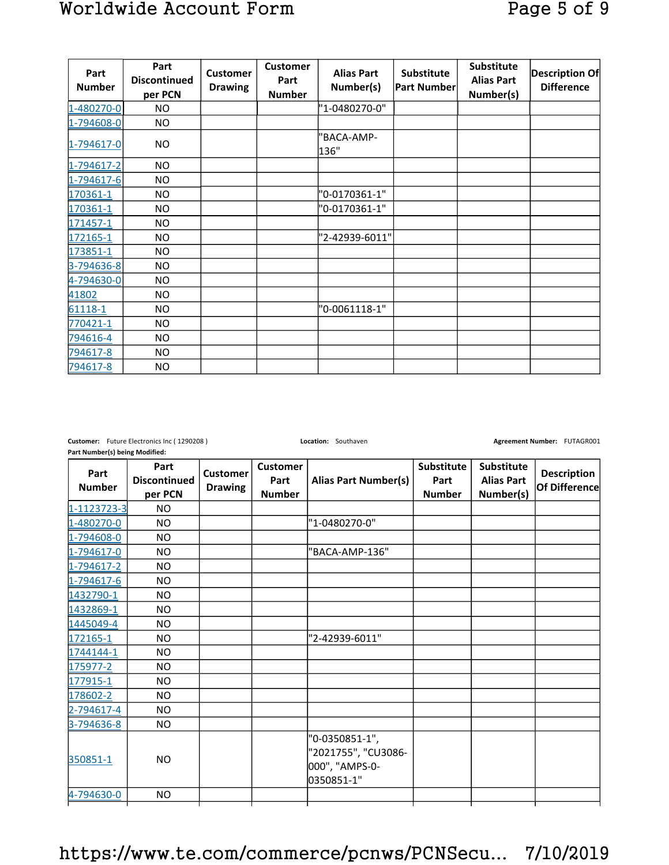| Part<br><b>Number</b> | Part<br><b>Discontinued</b><br>per PCN | <b>Customer</b><br><b>Drawing</b> | <b>Customer</b><br>Part<br><b>Number</b> | <b>Alias Part</b><br>Number(s) | Substitute<br><b>Part Number</b> | <b>Substitute</b><br><b>Alias Part</b><br>Number(s) | Description Of<br><b>Difference</b> |
|-----------------------|----------------------------------------|-----------------------------------|------------------------------------------|--------------------------------|----------------------------------|-----------------------------------------------------|-------------------------------------|
| 1-480270-0            | NO.                                    |                                   |                                          | "1-0480270-0"                  |                                  |                                                     |                                     |
| 1-794608-0            | NO.                                    |                                   |                                          |                                |                                  |                                                     |                                     |
| 1-794617-0            | NO.                                    |                                   |                                          | "BACA-AMP-<br>136"             |                                  |                                                     |                                     |
| 1-794617-2            | NO.                                    |                                   |                                          |                                |                                  |                                                     |                                     |
| 1-794617-6            | NO.                                    |                                   |                                          |                                |                                  |                                                     |                                     |
| 170361-1              | NO.                                    |                                   |                                          | "0-0170361-1"                  |                                  |                                                     |                                     |
| 170361-1              | NO.                                    |                                   |                                          | "0-0170361-1"                  |                                  |                                                     |                                     |
| 171457-1              | NO.                                    |                                   |                                          |                                |                                  |                                                     |                                     |
| 172165-1              | NO.                                    |                                   |                                          | "2-42939-6011"                 |                                  |                                                     |                                     |
| 173851-1              | NO.                                    |                                   |                                          |                                |                                  |                                                     |                                     |
| 3-794636-8            | NO.                                    |                                   |                                          |                                |                                  |                                                     |                                     |
| 4-794630-0            | NO.                                    |                                   |                                          |                                |                                  |                                                     |                                     |
| 41802                 | <b>NO</b>                              |                                   |                                          |                                |                                  |                                                     |                                     |
| 61118-1               | NO.                                    |                                   |                                          | "0-0061118-1"                  |                                  |                                                     |                                     |
| 770421-1              | NO.                                    |                                   |                                          |                                |                                  |                                                     |                                     |
| 794616-4              | NO.                                    |                                   |                                          |                                |                                  |                                                     |                                     |
| 794617-8              | NO.                                    |                                   |                                          |                                |                                  |                                                     |                                     |
| 794617-8              | NO.                                    |                                   |                                          |                                |                                  |                                                     |                                     |

**Part Number(s) being Modified:** 

**Customer:** Future Electronics Inc ( 1290208 ) **Location:** Southaven **Agreement Number: FUTAGR001 Agreement Number:** FUTAGR001

| Part<br><b>Number</b> | Part<br><b>Discontinued</b><br>per PCN | <b>Customer</b><br><b>Drawing</b> | <b>Customer</b><br>Part<br><b>Number</b> | <b>Alias Part Number(s)</b>                                           | Substitute<br>Part<br><b>Number</b> | Substitute<br><b>Alias Part</b><br>Number(s) | <b>Description</b><br>Of Difference |
|-----------------------|----------------------------------------|-----------------------------------|------------------------------------------|-----------------------------------------------------------------------|-------------------------------------|----------------------------------------------|-------------------------------------|
| 1-1123723-3           | NO.                                    |                                   |                                          |                                                                       |                                     |                                              |                                     |
| 1-480270-0            | NO.                                    |                                   |                                          | "1-0480270-0"                                                         |                                     |                                              |                                     |
| 1-794608-0            | NO.                                    |                                   |                                          |                                                                       |                                     |                                              |                                     |
| 1-794617-0            | <b>NO</b>                              |                                   |                                          | "BACA-AMP-136"                                                        |                                     |                                              |                                     |
| 1-794617-2            | <b>NO</b>                              |                                   |                                          |                                                                       |                                     |                                              |                                     |
| 1-794617-6            | NO.                                    |                                   |                                          |                                                                       |                                     |                                              |                                     |
| 1432790-1             | NO                                     |                                   |                                          |                                                                       |                                     |                                              |                                     |
| 1432869-1             | NO.                                    |                                   |                                          |                                                                       |                                     |                                              |                                     |
| 1445049-4             | NO.                                    |                                   |                                          |                                                                       |                                     |                                              |                                     |
| 172165-1              | NO.                                    |                                   |                                          | "2-42939-6011"                                                        |                                     |                                              |                                     |
| 1744144-1             | <b>NO</b>                              |                                   |                                          |                                                                       |                                     |                                              |                                     |
| 175977-2              | <b>NO</b>                              |                                   |                                          |                                                                       |                                     |                                              |                                     |
| 177915-1              | NO.                                    |                                   |                                          |                                                                       |                                     |                                              |                                     |
| 178602-2              | NO                                     |                                   |                                          |                                                                       |                                     |                                              |                                     |
| 2-794617-4            | NO.                                    |                                   |                                          |                                                                       |                                     |                                              |                                     |
| 3-794636-8            | NO.                                    |                                   |                                          |                                                                       |                                     |                                              |                                     |
| 350851-1              | <b>NO</b>                              |                                   |                                          | "0-0350851-1",<br>"2021755", "CU3086-<br>000", "AMPS-0-<br>0350851-1" |                                     |                                              |                                     |
| 4-794630-0            | <b>NO</b>                              |                                   |                                          |                                                                       |                                     |                                              |                                     |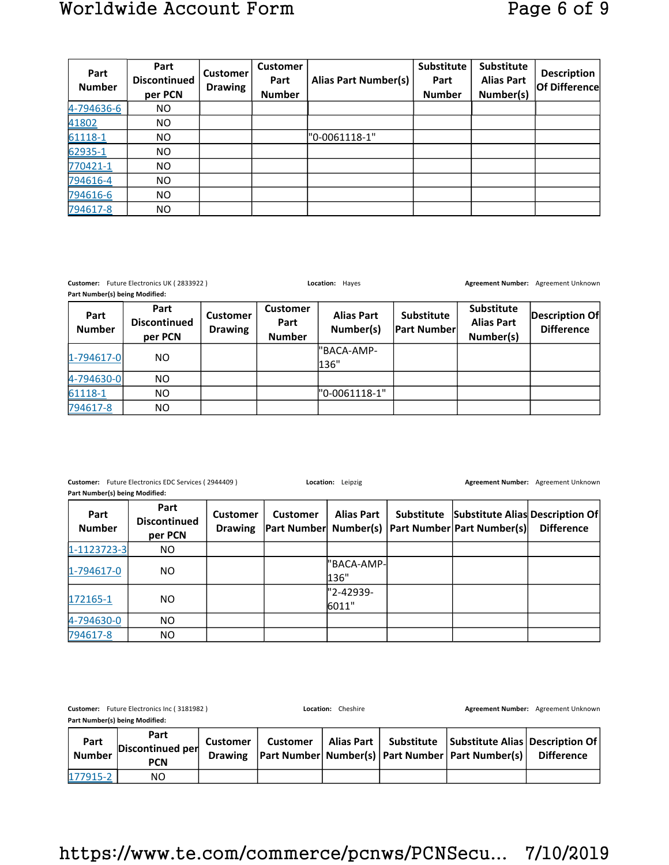# Worldwide Account Form Page 6 of 9

| Part<br><b>Number</b> | Part<br><b>Discontinued</b><br>per PCN | <b>Customer</b><br><b>Drawing</b> | <b>Customer</b><br>Part<br><b>Number</b> | <b>Alias Part Number(s)</b> | Substitute<br>Part<br><b>Number</b> | Substitute<br><b>Alias Part</b><br>Number(s) | <b>Description</b><br>Of Difference |
|-----------------------|----------------------------------------|-----------------------------------|------------------------------------------|-----------------------------|-------------------------------------|----------------------------------------------|-------------------------------------|
| 4-794636-6            | NO.                                    |                                   |                                          |                             |                                     |                                              |                                     |
| 41802                 | NO.                                    |                                   |                                          |                             |                                     |                                              |                                     |
| 61118-1               | NO.                                    |                                   |                                          | "0-0061118-1"               |                                     |                                              |                                     |
| 62935-1               | NO.                                    |                                   |                                          |                             |                                     |                                              |                                     |
| 770421-1              | NO.                                    |                                   |                                          |                             |                                     |                                              |                                     |
| 794616-4              | NO.                                    |                                   |                                          |                             |                                     |                                              |                                     |
| 794616-6              | NO.                                    |                                   |                                          |                             |                                     |                                              |                                     |
| 794617-8              | NO.                                    |                                   |                                          |                             |                                     |                                              |                                     |

**Customer:** Future Electronics UK ( 2833922 ) **Location: Hayes Mexican Agreement Number:** Agreement Unknown

**Part Number(s) being Modified:** 

| Part<br><b>Number</b> | Part<br><b>Discontinued</b><br>per PCN | <b>Customer</b><br><b>Drawing</b> | <b>Customer</b><br>Part<br><b>Number</b> | <b>Alias Part</b><br>Number(s) | <b>Substitute</b><br><b>Part Number</b> | Substitute<br><b>Alias Part</b><br>Number(s) | Description Of<br><b>Difference</b> |
|-----------------------|----------------------------------------|-----------------------------------|------------------------------------------|--------------------------------|-----------------------------------------|----------------------------------------------|-------------------------------------|
| $1 - 794617 - 0$      | NO.                                    |                                   |                                          | l"BACA-AMP-<br>136"            |                                         |                                              |                                     |
| 4-794630-0            | NO.                                    |                                   |                                          |                                |                                         |                                              |                                     |
| 61118-1               | NO.                                    |                                   |                                          | "0-0061118-1"                  |                                         |                                              |                                     |
| 794617-8              | NO.                                    |                                   |                                          |                                |                                         |                                              |                                     |

**Customer:** Future Electronics EDC Services ( 2944409 ) **Location:** Leipzig **Agreement Number:** Agreement Unknown **Part Number(s) being Modified:** 

| Part<br><b>Number</b> | Part<br><b>Discontinued</b><br>per PCN | <b>Customer</b><br><b>Drawing</b> | <b>Customer</b> | <b>Alias Part</b>  | Substitute Substitute Alias Description Of<br> Part Number  Number(s)   Part Number Part Number(s) | <b>Difference</b> |
|-----------------------|----------------------------------------|-----------------------------------|-----------------|--------------------|----------------------------------------------------------------------------------------------------|-------------------|
| $1 - 1123723 - 3$     | NO.                                    |                                   |                 |                    |                                                                                                    |                   |
| $1-794617-0$          | NO.                                    |                                   |                 | "BACA-AMP-<br>136" |                                                                                                    |                   |
| 172165-1              | NO.                                    |                                   |                 | "2-42939-<br>6011" |                                                                                                    |                   |
| 4-794630-0            | NO.                                    |                                   |                 |                    |                                                                                                    |                   |
| 794617-8              | NO.                                    |                                   |                 |                    |                                                                                                    |                   |

| <b>Customer:</b><br>Part Number(s) being Modified: | Future Electronics Inc (3181982)       |                                   |          | Location: Cheshire |                                                                                                                         | Agreement Number: Agreement Unknown |
|----------------------------------------------------|----------------------------------------|-----------------------------------|----------|--------------------|-------------------------------------------------------------------------------------------------------------------------|-------------------------------------|
| Part<br><b>Number</b>                              | Part<br>Discontinued per<br><b>PCN</b> | <b>Customer</b><br><b>Drawing</b> | Customer |                    | Alias Part   Substitute   Substitute Alias   Description Of  <br> Part Number  Number(s)   Part Number   Part Number(s) | <b>Difference</b>                   |
| 177915-2                                           | NO                                     |                                   |          |                    |                                                                                                                         |                                     |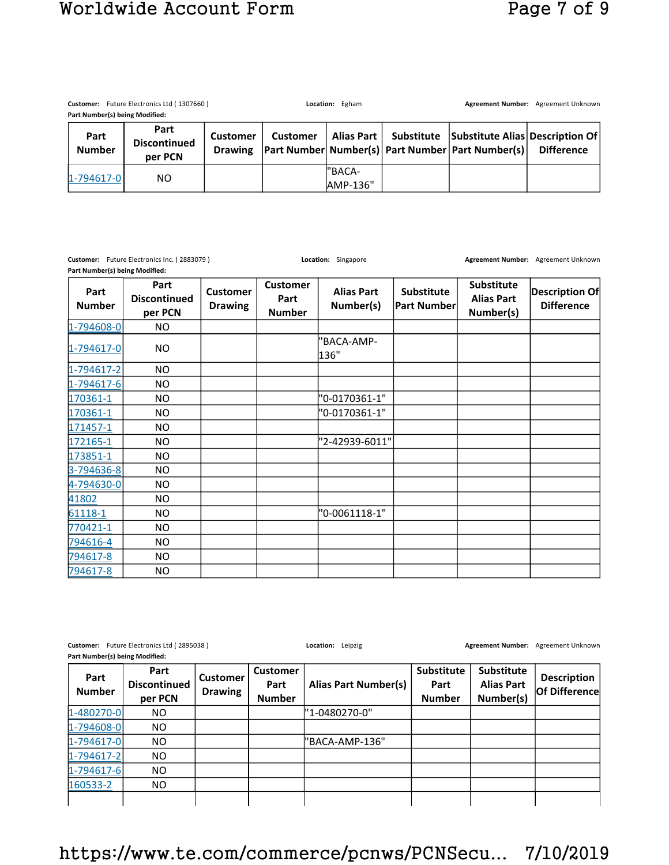# Worldwide Account Form Page 7 of 9

|                                | Customer: Future Electronics Ltd (1307660) |                                   |                 | Location: Egham    |  |                                                                                                                        | Agreement Number: Agreement Unknown |
|--------------------------------|--------------------------------------------|-----------------------------------|-----------------|--------------------|--|------------------------------------------------------------------------------------------------------------------------|-------------------------------------|
| Part Number(s) being Modified: |                                            |                                   |                 |                    |  |                                                                                                                        |                                     |
| Part<br><b>Number</b>          | Part<br><b>Discontinued</b><br>per PCN     | <b>Customer</b><br><b>Drawing</b> | <b>Customer</b> |                    |  | Alias Part   Substitute   Substitute Alias   Description Of  <br> Part Number  Number(s)  Part Number   Part Number(s) | <b>Difference</b>                   |
| $1 - 794617 - 0$               | NO.                                        |                                   |                 | "BACA-<br>AMP-136" |  |                                                                                                                        |                                     |

|                       | Customer: Future Electronics Inc. (2883079)<br>Part Number(s) being Modified: |                                   |                                          | Location: Singapore            |                                         |                                                     | Agreement Number: Agreement Unknown |  |  |
|-----------------------|-------------------------------------------------------------------------------|-----------------------------------|------------------------------------------|--------------------------------|-----------------------------------------|-----------------------------------------------------|-------------------------------------|--|--|
| Part<br><b>Number</b> | Part<br><b>Discontinued</b><br>per PCN                                        | <b>Customer</b><br><b>Drawing</b> | <b>Customer</b><br>Part<br><b>Number</b> | <b>Alias Part</b><br>Number(s) | <b>Substitute</b><br><b>Part Number</b> | <b>Substitute</b><br><b>Alias Part</b><br>Number(s) | Description Of<br><b>Difference</b> |  |  |
| 1-794608-0            | <b>NO</b>                                                                     |                                   |                                          |                                |                                         |                                                     |                                     |  |  |
| $1 - 794617 - 0$      | NO.                                                                           |                                   |                                          | 'BACA-AMP-<br>136"             |                                         |                                                     |                                     |  |  |
| 1-794617-2            | NO.                                                                           |                                   |                                          |                                |                                         |                                                     |                                     |  |  |
| $1 - 794617 - 6$      | NO.                                                                           |                                   |                                          |                                |                                         |                                                     |                                     |  |  |
| 170361-1              | <b>NO</b>                                                                     |                                   |                                          | "0-0170361-1"                  |                                         |                                                     |                                     |  |  |
| 170361-1              | <b>NO</b>                                                                     |                                   |                                          | "0-0170361-1"                  |                                         |                                                     |                                     |  |  |
| 171457-1              | NO                                                                            |                                   |                                          |                                |                                         |                                                     |                                     |  |  |
| 172165-1              | NO.                                                                           |                                   |                                          | "2-42939-6011"                 |                                         |                                                     |                                     |  |  |
| 173851-1              | NO.                                                                           |                                   |                                          |                                |                                         |                                                     |                                     |  |  |
| 3-794636-8            | NO                                                                            |                                   |                                          |                                |                                         |                                                     |                                     |  |  |
| 4-794630-0            | NO.                                                                           |                                   |                                          |                                |                                         |                                                     |                                     |  |  |
| 41802                 | NO                                                                            |                                   |                                          |                                |                                         |                                                     |                                     |  |  |
| 61118-1               | NO.                                                                           |                                   |                                          | "0-0061118-1"                  |                                         |                                                     |                                     |  |  |
| 770421-1              | NO.                                                                           |                                   |                                          |                                |                                         |                                                     |                                     |  |  |
| 794616-4              | NO                                                                            |                                   |                                          |                                |                                         |                                                     |                                     |  |  |
| 794617-8              | NO.                                                                           |                                   |                                          |                                |                                         |                                                     |                                     |  |  |
| 794617-8              | <b>NO</b>                                                                     |                                   |                                          |                                |                                         |                                                     |                                     |  |  |

**Customer:** Future Electronics Ltd ( 2895038 ) **Location:** Leipzig **Agreement Number:** Agreement Unknown **Part Number(s) being Modified:** 

| Part<br><b>Number</b> | Part<br><b>Discontinued</b><br>per PCN | <b>Customer</b><br><b>Drawing</b> | <b>Customer</b><br>Part<br><b>Number</b> | <b>Alias Part Number(s)</b> | <b>Substitute</b><br>Part<br><b>Number</b> | Substitute<br><b>Alias Part</b><br>Number(s) | <b>Description</b><br>Of Difference |
|-----------------------|----------------------------------------|-----------------------------------|------------------------------------------|-----------------------------|--------------------------------------------|----------------------------------------------|-------------------------------------|
| 1-480270-0            | NO.                                    |                                   |                                          | l"1-0480270-0"              |                                            |                                              |                                     |
| 1-794608-0            | NO.                                    |                                   |                                          |                             |                                            |                                              |                                     |
| $1 - 794617 - 0$      | NO.                                    |                                   |                                          | "BACA-AMP-136"              |                                            |                                              |                                     |
| $1-794617-2$          | NO.                                    |                                   |                                          |                             |                                            |                                              |                                     |
| $1 - 794617 - 6$      | NO.                                    |                                   |                                          |                             |                                            |                                              |                                     |
| 160533-2              | NO.                                    |                                   |                                          |                             |                                            |                                              |                                     |
|                       |                                        |                                   |                                          |                             |                                            |                                              |                                     |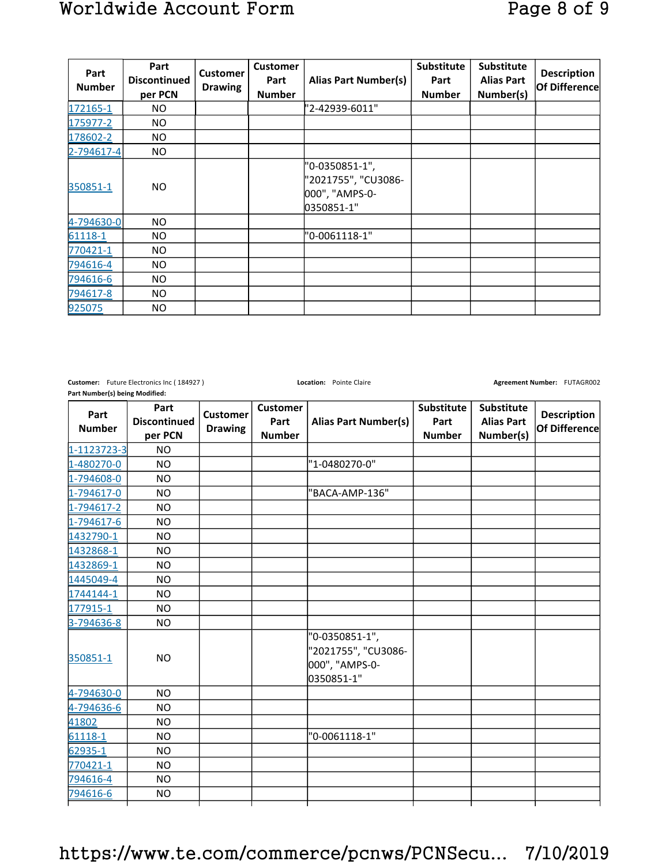| Part<br><b>Number</b> | Part<br><b>Discontinued</b><br>per PCN | <b>Customer</b><br><b>Drawing</b> | <b>Customer</b><br>Part<br><b>Number</b> | <b>Alias Part Number(s)</b>                                           | Substitute<br>Part<br><b>Number</b> | <b>Substitute</b><br><b>Alias Part</b><br>Number(s) | <b>Description</b><br><b>Of Difference</b> |
|-----------------------|----------------------------------------|-----------------------------------|------------------------------------------|-----------------------------------------------------------------------|-------------------------------------|-----------------------------------------------------|--------------------------------------------|
| 172165-1              | NO.                                    |                                   |                                          | "2-42939-6011"                                                        |                                     |                                                     |                                            |
| 175977-2              | NO.                                    |                                   |                                          |                                                                       |                                     |                                                     |                                            |
| 178602-2              | NO.                                    |                                   |                                          |                                                                       |                                     |                                                     |                                            |
| $2 - 794617 - 4$      | NO.                                    |                                   |                                          |                                                                       |                                     |                                                     |                                            |
| 350851-1              | <b>NO</b>                              |                                   |                                          | "0-0350851-1",<br>"2021755", "CU3086-<br>000", "AMPS-0-<br>0350851-1" |                                     |                                                     |                                            |
| 4-794630-0            | NO.                                    |                                   |                                          |                                                                       |                                     |                                                     |                                            |
| 61118-1               | NO                                     |                                   |                                          | "0-0061118-1"                                                         |                                     |                                                     |                                            |
| 770421-1              | NO.                                    |                                   |                                          |                                                                       |                                     |                                                     |                                            |
| 794616-4              | NO.                                    |                                   |                                          |                                                                       |                                     |                                                     |                                            |
| 794616-6              | NO.                                    |                                   |                                          |                                                                       |                                     |                                                     |                                            |
| 794617-8              | NO.                                    |                                   |                                          |                                                                       |                                     |                                                     |                                            |
| 925075                | NO.                                    |                                   |                                          |                                                                       |                                     |                                                     |                                            |

**Customer:** Future Electronics Inc ( 184927 ) **Location:** Pointe Claire **Agreement Number: FUTAGR002 Agreement Number:** FUTAGR002 **Part Number(s) being Modified:** 

| Part<br><b>Number</b> | Part<br><b>Discontinued</b><br>per PCN | <b>Customer</b><br><b>Drawing</b> | <b>Customer</b><br>Part<br><b>Number</b> | <b>Alias Part Number(s)</b>                                           | Substitute<br>Part<br><b>Number</b> | Substitute<br><b>Alias Part</b><br>Number(s) | <b>Description</b><br>Of Difference |
|-----------------------|----------------------------------------|-----------------------------------|------------------------------------------|-----------------------------------------------------------------------|-------------------------------------|----------------------------------------------|-------------------------------------|
| 1-1123723-3           | <b>NO</b>                              |                                   |                                          |                                                                       |                                     |                                              |                                     |
| 1-480270-0            | <b>NO</b>                              |                                   |                                          | "1-0480270-0"                                                         |                                     |                                              |                                     |
| 1-794608-0            | N <sub>O</sub>                         |                                   |                                          |                                                                       |                                     |                                              |                                     |
| 1-794617-0            | <b>NO</b>                              |                                   |                                          | "BACA-AMP-136"                                                        |                                     |                                              |                                     |
| 1-794617-2            | <b>NO</b>                              |                                   |                                          |                                                                       |                                     |                                              |                                     |
| 1-794617-6            | NO.                                    |                                   |                                          |                                                                       |                                     |                                              |                                     |
| 1432790-1             | NO                                     |                                   |                                          |                                                                       |                                     |                                              |                                     |
| 1432868-1             | NO.                                    |                                   |                                          |                                                                       |                                     |                                              |                                     |
| 1432869-1             | NO                                     |                                   |                                          |                                                                       |                                     |                                              |                                     |
| 1445049-4             | NO                                     |                                   |                                          |                                                                       |                                     |                                              |                                     |
| 1744144-1             | NO                                     |                                   |                                          |                                                                       |                                     |                                              |                                     |
| 177915-1              | NO.                                    |                                   |                                          |                                                                       |                                     |                                              |                                     |
| 3-794636-8            | <b>NO</b>                              |                                   |                                          |                                                                       |                                     |                                              |                                     |
| 350851-1              | <b>NO</b>                              |                                   |                                          | "0-0350851-1",<br>"2021755", "CU3086-<br>000", "AMPS-0-<br>0350851-1" |                                     |                                              |                                     |
| 4-794630-0            | <b>NO</b>                              |                                   |                                          |                                                                       |                                     |                                              |                                     |
| 4-794636-6            | NO.                                    |                                   |                                          |                                                                       |                                     |                                              |                                     |
| 41802                 | NO.                                    |                                   |                                          |                                                                       |                                     |                                              |                                     |
| 61118-1               | <b>NO</b>                              |                                   |                                          | "0-0061118-1"                                                         |                                     |                                              |                                     |
| 62935-1               | NO.                                    |                                   |                                          |                                                                       |                                     |                                              |                                     |
| 770421-1              | NO.                                    |                                   |                                          |                                                                       |                                     |                                              |                                     |
| 794616-4              | <b>NO</b>                              |                                   |                                          |                                                                       |                                     |                                              |                                     |
| 794616-6              | NO.                                    |                                   |                                          |                                                                       |                                     |                                              |                                     |
|                       |                                        |                                   |                                          |                                                                       |                                     |                                              |                                     |